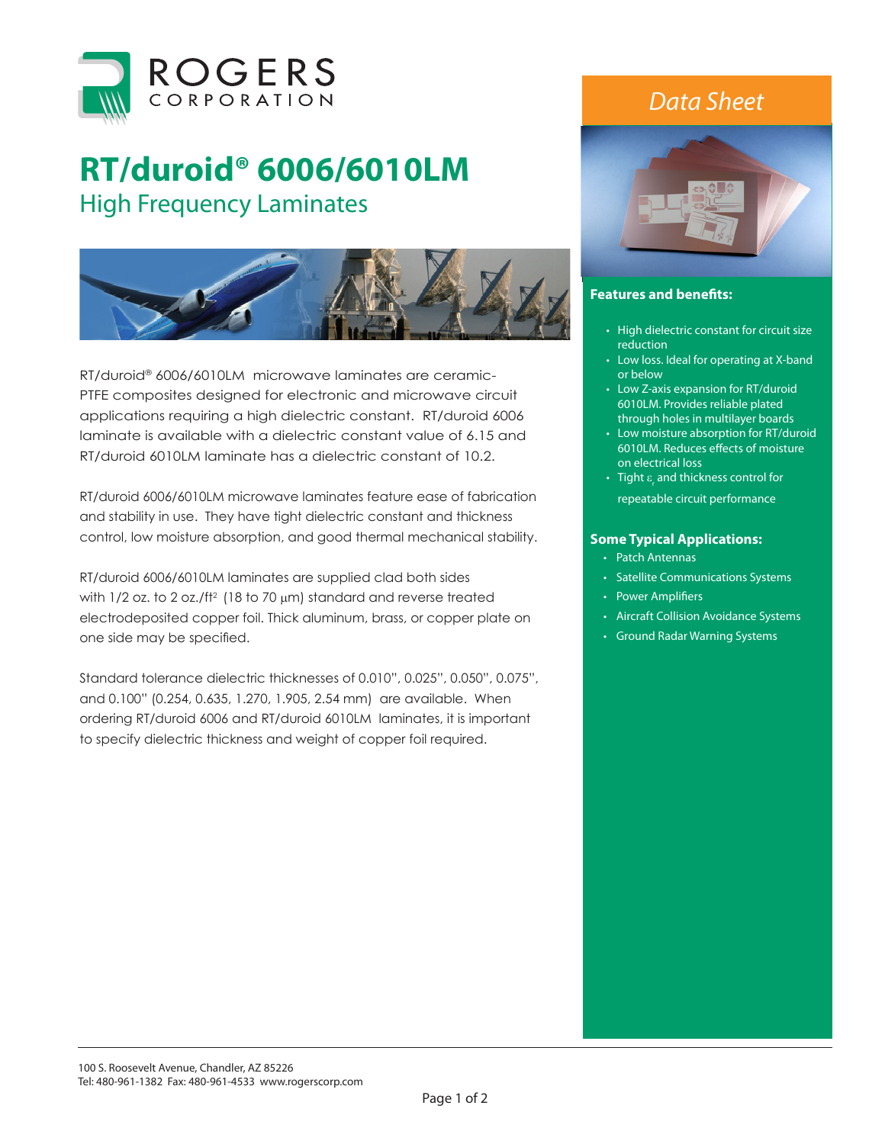

## **RT/duroid® 6006/6010LM**  High Frequency Laminates



RT/duroid® 6006/6010LM microwave laminates are ceramic-PTFE composites designed for electronic and microwave circuit applications requiring a high dielectric constant. RT/duroid 6006 laminate is available with a dielectric constant value of 6.15 and RT/duroid 6010LM laminate has a dielectric constant of 10.2.

RT/duroid 6006/6010LM microwave laminates feature ease of fabrication and stability in use. They have tight dielectric constant and thickness control, low moisture absorption, and good thermal mechanical stability.

RT/duroid 6006/6010LM laminates are supplied clad both sides with  $1/2$  oz. to 2 oz./ft<sup>2</sup> (18 to 70  $\mu$ m) standard and reverse treated electrodeposited copper foil. Thick aluminum, brass, or copper plate on one side may be specified.

Standard tolerance dielectric thicknesses of 0.010", 0.025", 0.050", 0.075", and 0.100" (0.254, 0.635, 1.270, 1.905, 2.54 mm) are available. When ordering RT/duroid 6006 and RT/duroid 6010LM laminates, it is important to specify dielectric thickness and weight of copper foil required.

## *Data Sheet*



## **Features and benefits:**

- High dielectric constant for circuit size reduction
- Low loss. Ideal for operating at X-band or below
- Low Z-axis expansion for RT/duroid 6010LM. Provides reliable plated through holes in multilayer boards
- Low moisture absorption for RT/duroid 6010LM. Reduces effects of moisture on electrical loss
- Tight  $\varepsilon_{\rm r}$  and thickness control for repeatable circuit performance

## **Some Typical Applications:**

- Patch Antennas
- Satellite Communications Systems
- Power Amplifiers
- Aircraft Collision Avoidance Systems
- Ground Radar Warning Systems